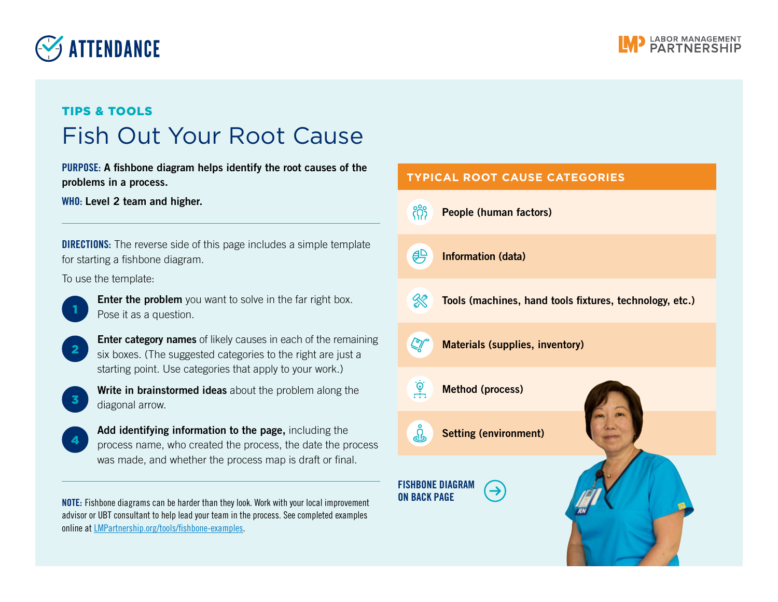## **SETTENDANCE**



## TIPS & TOOLS Fish Out Your Root Cause

PURPOSE: A fishbone diagram helps identify the root causes of the problems in a process.

WHO: Level 2 team and higher.

**DIRECTIONS:** The reverse side of this page includes a simple template for starting a fishbone diagram.

To use the template:



**Enter the problem** you want to solve in the far right box. Pose it as a question.



**2** Enter category names of likely causes in each of the remaining six boxes. (The suggested categories to the right are just a starting point. Use categories that apply to your work.)



Write in brainstormed ideas about the problem along the diagonal arrow.



Add identifying information to the page, including the process name, who created the process, the date the process was made, and whether the process map is draft or final.

 $\mathbf{0}$ 

NOTE: Fishbone diagrams can be harder than they look. Work with your local improvement advisor or UBT consultant to help lead your team in the process. See completed examples online at [LMPartnership.org/tools/fishbone-examples](https://www.lmpartnership.org/tools/fishbone-examples).

| <b>TYPICAL ROOT CAUSE CATEGORIES</b>           |                                                         |
|------------------------------------------------|---------------------------------------------------------|
| <b>People (human factors)</b>                  |                                                         |
| <b>Information (data)</b>                      |                                                         |
|                                                | Tools (machines, hand tools fixtures, technology, etc.) |
|                                                |                                                         |
| <b>Method (process)</b>                        |                                                         |
| <b>Setting (environment)</b>                   |                                                         |
| <b>FISHBONE DIAGRAM</b><br><b>ON BACK PAGE</b> |                                                         |
|                                                | <b>Materials (supplies, inventory)</b>                  |